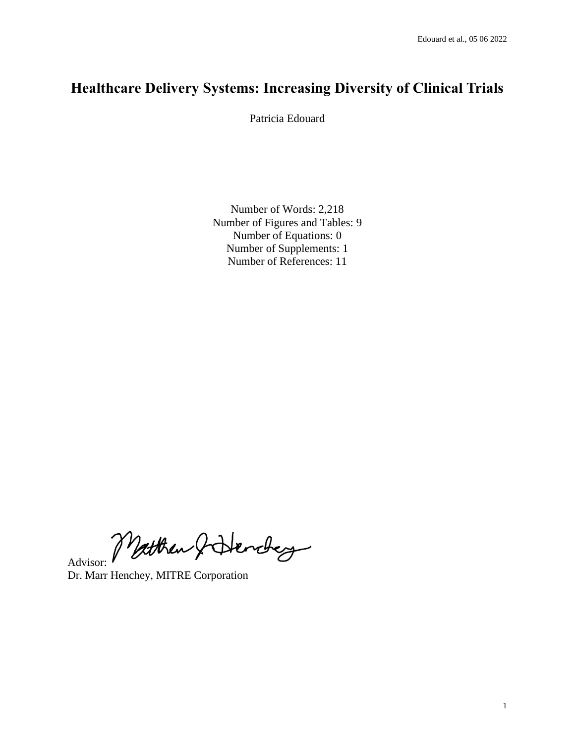# **Healthcare Delivery Systems: Increasing Diversity of Clinical Trials**

Patricia Edouard

Number of Words: 2,218 Number of Figures and Tables: 9 Number of Equations: 0 Number of Supplements: 1 Number of References: 11

Advisor: Matthew & Henchey

Dr. Marr Henchey, MITRE Corporation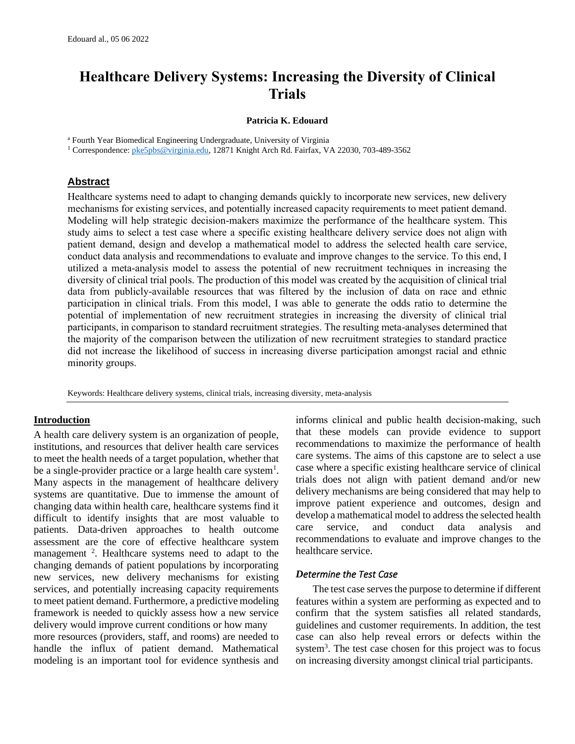## **Healthcare Delivery Systems: Increasing the Diversity of Clinical Trials**

### **Patricia K. Edouard**

<sup>a</sup> Fourth Year Biomedical Engineering Undergraduate, University of Virginia

<sup>1</sup> Correspondence[: pke5pbs@virginia.edu,](mailto:pke5pbs@virginia.edu) 12871 Knight Arch Rd. Fairfax, VA 22030, 703-489-3562

## **Abstract**

Healthcare systems need to adapt to changing demands quickly to incorporate new services, new delivery mechanisms for existing services, and potentially increased capacity requirements to meet patient demand. Modeling will help strategic decision-makers maximize the performance of the healthcare system. This study aims to select a test case where a specific existing healthcare delivery service does not align with patient demand, design and develop a mathematical model to address the selected health care service, conduct data analysis and recommendations to evaluate and improve changes to the service. To this end, I utilized a meta-analysis model to assess the potential of new recruitment techniques in increasing the diversity of clinical trial pools. The production of this model was created by the acquisition of clinical trial data from publicly-available resources that was filtered by the inclusion of data on race and ethnic participation in clinical trials. From this model, I was able to generate the odds ratio to determine the potential of implementation of new recruitment strategies in increasing the diversity of clinical trial participants, in comparison to standard recruitment strategies. The resulting meta-analyses determined that the majority of the comparison between the utilization of new recruitment strategies to standard practice did not increase the likelihood of success in increasing diverse participation amongst racial and ethnic minority groups.

Keywords: Healthcare delivery systems, clinical trials, increasing diversity, meta-analysis

## **Introduction**

A health care delivery system is an organization of people, institutions, and resources that deliver health care services to meet the health needs of a target population, whether that be a single-provider practice or a large health care system<sup>1</sup>. Many aspects in the management of healthcare delivery systems are quantitative. Due to immense the amount of changing data within health care, healthcare systems find it difficult to identify insights that are most valuable to patients. Data-driven approaches to health outcome assessment are the core of effective healthcare system management <sup>2</sup>. Healthcare systems need to adapt to the changing demands of patient populations by incorporating new services, new delivery mechanisms for existing services, and potentially increasing capacity requirements to meet patient demand. Furthermore, a predictive modeling framework is needed to quickly assess how a new service delivery would improve current conditions or how many more resources (providers, staff, and rooms) are needed to handle the influx of patient demand. Mathematical modeling is an important tool for evidence synthesis and

informs clinical and public health decision-making, such that these models can provide evidence to support recommendations to maximize the performance of health care systems. The aims of this capstone are to select a use case where a specific existing healthcare service of clinical trials does not align with patient demand and/or new delivery mechanisms are being considered that may help to improve patient experience and outcomes, design and develop a mathematical model to address the selected health care service, and conduct data analysis and recommendations to evaluate and improve changes to the healthcare service.

## *Determine the Test Case*

The test case serves the purpose to determine if different features within a system are performing as expected and to confirm that the system satisfies all related standards, guidelines and customer requirements. In addition, the test case can also help reveal errors or defects within the system<sup>3</sup>. The test case chosen for this project was to focus on increasing diversity amongst clinical trial participants.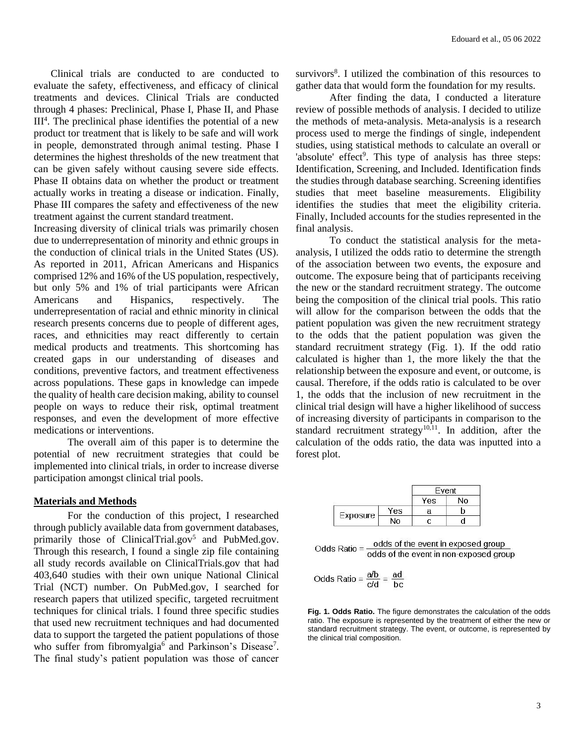Clinical trials are conducted to are conducted to evaluate the safety, effectiveness, and efficacy of clinical treatments and devices. Clinical Trials are conducted through 4 phases: Preclinical, Phase I, Phase II, and Phase  $III<sup>4</sup>$ . The preclinical phase identifies the potential of a new product tor treatment that is likely to be safe and will work in people, demonstrated through animal testing. Phase I determines the highest thresholds of the new treatment that can be given safely without causing severe side effects. Phase II obtains data on whether the product or treatment actually works in treating a disease or indication. Finally, Phase III compares the safety and effectiveness of the new treatment against the current standard treatment.

Increasing diversity of clinical trials was primarily chosen due to underrepresentation of minority and ethnic groups in the conduction of clinical trials in the United States (US). As reported in 2011, African Americans and Hispanics comprised 12% and 16% of the US population, respectively, but only 5% and 1% of trial participants were African Americans and Hispanics, respectively. The underrepresentation of racial and ethnic minority in clinical research presents concerns due to people of different ages, races, and ethnicities may react differently to certain medical products and treatments. This shortcoming has created gaps in our understanding of diseases and conditions, preventive factors, and treatment effectiveness across populations. These gaps in knowledge can impede the quality of health care decision making, ability to counsel people on ways to reduce their risk, optimal treatment responses, and even the development of more effective medications or interventions.

The overall aim of this paper is to determine the potential of new recruitment strategies that could be implemented into clinical trials, in order to increase diverse participation amongst clinical trial pools.

### **Materials and Methods**

For the conduction of this project, I researched through publicly available data from government databases, primarily those of ClinicalTrial.gov<sup>5</sup> and PubMed.gov. Through this research, I found a single zip file containing all study records available on ClinicalTrials.gov that had 403,640 studies with their own unique National Clinical Trial (NCT) number. On PubMed.gov, I searched for research papers that utilized specific, targeted recruitment techniques for clinical trials. I found three specific studies that used new recruitment techniques and had documented data to support the targeted the patient populations of those who suffer from fibromyalgia<sup>6</sup> and Parkinson's Disease<sup>7</sup>. The final study's patient population was those of cancer

survivors<sup>8</sup>. I utilized the combination of this resources to gather data that would form the foundation for my results.

After finding the data, I conducted a literature review of possible methods of analysis. I decided to utilize the methods of meta-analysis. Meta-analysis is a research process used to merge the findings of single, independent studies, using statistical methods to calculate an overall or 'absolute' effect<sup>9</sup>. This type of analysis has three steps: Identification, Screening, and Included. Identification finds the studies through database searching. Screening identifies studies that meet baseline measurements. Eligibility identifies the studies that meet the eligibility criteria. Finally, Included accounts for the studies represented in the final analysis.

To conduct the statistical analysis for the metaanalysis, I utilized the odds ratio to determine the strength of the association between two events, the exposure and outcome. The exposure being that of participants receiving the new or the standard recruitment strategy. The outcome being the composition of the clinical trial pools. This ratio will allow for the comparison between the odds that the patient population was given the new recruitment strategy to the odds that the patient population was given the standard recruitment strategy (Fig. 1). If the odd ratio calculated is higher than 1, the more likely the that the relationship between the exposure and event, or outcome, is causal. Therefore, if the odds ratio is calculated to be over 1, the odds that the inclusion of new recruitment in the clinical trial design will have a higher likelihood of success of increasing diversity of participants in comparison to the standard recruitment strategy $10,11$ . In addition, after the calculation of the odds ratio, the data was inputted into a forest plot.

|          |     | Event |    |  |
|----------|-----|-------|----|--|
|          |     | Yes   | No |  |
| Exposure | Yes | а     | b  |  |
|          | Nο  |       |    |  |

odds of the event in exposed group Odds Ratio = odds of the event in non-exposed group

Odds Ratio = 
$$
\frac{a/b}{c/d}
$$
 =  $\frac{ad}{bc}$ 

**Fig. 1. Odds Ratio.** The figure demonstrates the calculation of the odds ratio. The exposure is represented by the treatment of either the new or standard recruitment strategy. The event, or outcome, is represented by the clinical trial composition.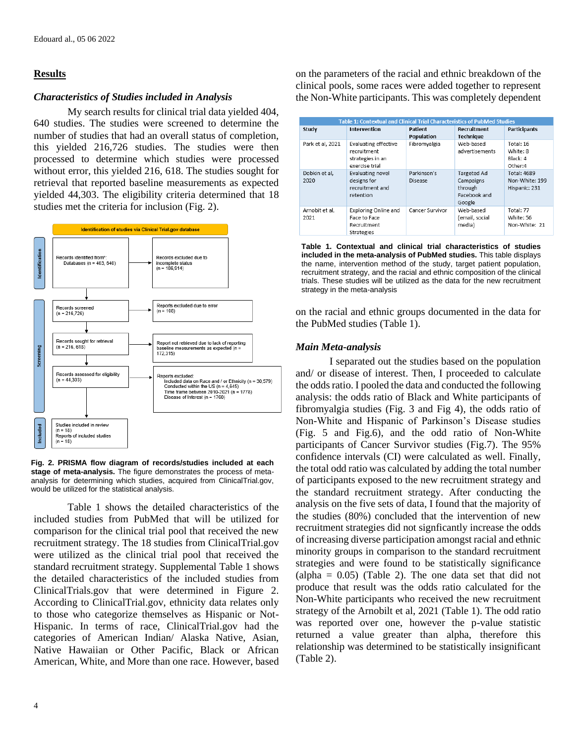## **Results**

## *Characteristics of Studies included in Analysis*

My search results for clinical trial data yielded 404, 640 studies. The studies were screened to determine the number of studies that had an overall status of completion, this yielded 216,726 studies. The studies were then processed to determine which studies were processed without error, this yielded 216, 618. The studies sought for retrieval that reported baseline measurements as expected yielded 44,303. The eligibility criteria determined that 18 studies met the criteria for inclusion (Fig. 2).



**Fig. 2. PRISMA flow diagram of records/studies included at each stage of meta-analysis.** The figure demonstrates the process of metaanalysis for determining which studies, acquired from ClinicalTrial.gov, would be utilized for the statistical analysis.

Table 1 shows the detailed characteristics of the included studies from PubMed that will be utilized for comparison for the clinical trial pool that received the new recruitment strategy. The 18 studies from ClinicalTrial.gov were utilized as the clinical trial pool that received the standard recruitment strategy. Supplemental Table 1 shows the detailed characteristics of the included studies from ClinicalTrials.gov that were determined in Figure 2. According to ClinicalTrial.gov, ethnicity data relates only to those who categorize themselves as Hispanic or Not-Hispanic. In terms of race, ClinicalTrial.gov had the categories of American Indian/ Alaska Native, Asian, Native Hawaiian or Other Pacific, Black or African American, White, and More than one race. However, based on the parameters of the racial and ethnic breakdown of the clinical pools, some races were added together to represent the Non-White participants. This was completely dependent

| <b>Table 1: Contextual and Clinical Trial Characteristics of PubMed Studies</b> |                                                                                  |                        |                                                               |                                                       |
|---------------------------------------------------------------------------------|----------------------------------------------------------------------------------|------------------------|---------------------------------------------------------------|-------------------------------------------------------|
| Study                                                                           | Intervention                                                                     | Patient<br>Population  | Recruitment<br><b>Technique</b>                               | <b>Participants</b>                                   |
| Park et al, 2021                                                                | <b>Evaluating effective</b><br>recruitment<br>strategies in an<br>exercise trial | Fibromyalgia           | Web-based<br>advertisements                                   | Total: 16<br>White: 8<br>Black: 4<br>Other:4          |
| Dobkin et al,<br>2020                                                           | Evaluating novel<br>designs for<br>recruitment and<br>retention                  | Parkinson's<br>Disease | Targeted Ad<br>Campaigns<br>through<br>Facebook and<br>Google | <b>Total: 4689</b><br>Non-White: 199<br>Hispanic: 231 |
| Arnobit et al,<br>2021                                                          | <b>Exploring Online and</b><br>Face to Face<br>Recruitment<br><b>Strategies</b>  | Cancer Survivor        | Web-based<br>(email, social<br>media)                         | Total: 77<br>White: 56<br>Non-White: 21               |

**Table 1. Contextual and clinical trial characteristics of studies included in the meta-analysis of PubMed studies.** This table displays the name, intervention method of the study, target patient population, recruitment strategy, and the racial and ethnic composition of the clinical trials. These studies will be utilized as the data for the new recruitment strategy in the meta-analysis

on the racial and ethnic groups documented in the data for the PubMed studies (Table 1).

## *Main Meta-analysis*

I separated out the studies based on the population and/ or disease of interest. Then, I proceeded to calculate the odds ratio. I pooled the data and conducted the following analysis: the odds ratio of Black and White participants of fibromyalgia studies (Fig. 3 and Fig 4), the odds ratio of Non-White and Hispanic of Parkinson's Disease studies (Fig. 5 and Fig.6), and the odd ratio of Non-White participants of Cancer Survivor studies (Fig.7). The 95% confidence intervals (CI) were calculated as well. Finally, the total odd ratio was calculated by adding the total number of participants exposed to the new recruitment strategy and the standard recruitment strategy. After conducting the analysis on the five sets of data, I found that the majority of the studies (80%) concluded that the intervention of new recruitment strategies did not signficantly increase the odds of increasing diverse participation amongst racial and ethnic minority groups in comparison to the standard recruitment strategies and were found to be statistically significance (alpha =  $0.05$ ) (Table 2). The one data set that did not produce that result was the odds ratio calculated for the Non-White participants who received the new recruitment strategy of the Arnobilt et al, 2021 (Table 1). The odd ratio was reported over one, however the p-value statistic returned a value greater than alpha, therefore this relationship was determined to be statistically insignificant (Table 2).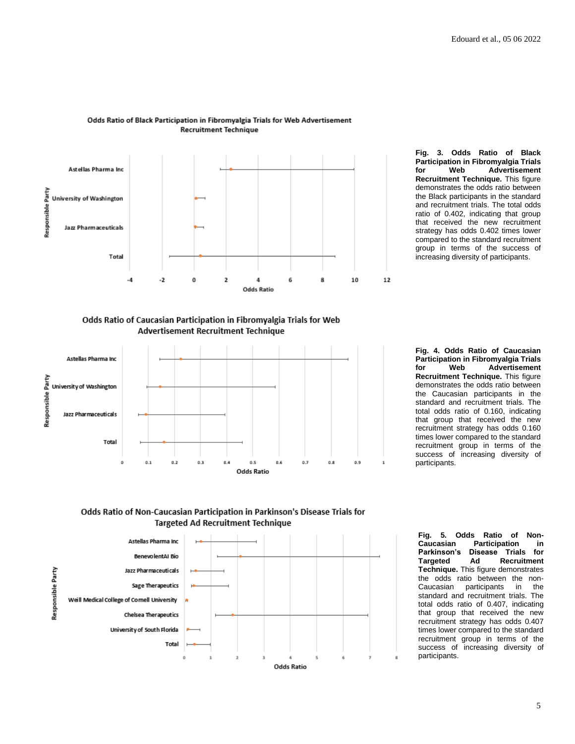

#### Odds Ratio of Black Participation in Fibromyalgia Trials for Web Advertisement **Recruitment Technique**

**Participation in Fibromyalgia Trials for Web Advertisement Recruitment Technique.** This figure demonstrates the odds ratio between the Black participants in the standard and recruitment trials. The total odds ratio of 0.402, indicating that group that received the new recruitment strategy has odds 0.402 times lower compared to the standard recruitment group in terms of the success of increasing diversity of participants.

**Fig. 3. Odds Ratio of Black** 

Odds Ratio of Caucasian Participation in Fibromyalgia Trials for Web Advertisement Recruitment Technique



**Fig. 4. Odds Ratio of Caucasian Participation in Fibromyalgia Trials for Web Advertisement Recruitment Technique.** This figure demonstrates the odds ratio between the Caucasian participants in the standard and recruitment trials. The total odds ratio of 0.160, indicating that group that received the new recruitment strategy has odds 0.160 times lower compared to the standard recruitment group in terms of the success of increasing diversity of participants.





**Fig. 5. Odds Ratio of Non-Participation Parkinson's Disease Trials for Targeted Ad Recruitment Technique.** This figure demonstrates the odds ratio between the non-Caucasian participants in the standard and recruitment trials. The total odds ratio of 0.407, indicating that group that received the new recruitment strategy has odds 0.407 times lower compared to the standard recruitment group in terms of the success of increasing diversity of participants.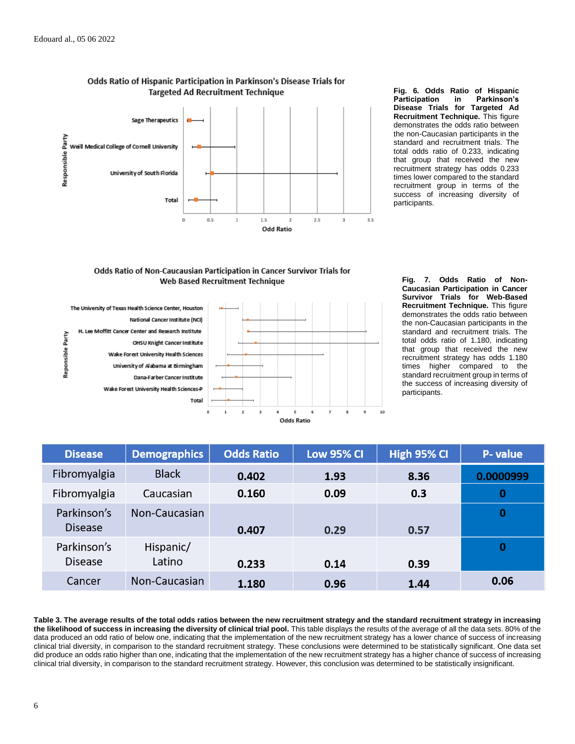

Odds Ratio of Hispanic Participation in Parkinson's Disease Trials for **Targeted Ad Recruitment Technique** 

**Fig. 6. Odds Ratio of Hispanic Participation in Disease Trials for Targeted Ad Recruitment Technique.** This figure demonstrates the odds ratio between the non-Caucasian participants in the standard and recruitment trials. The total odds ratio of 0.233, indicating that group that received the new recruitment strategy has odds 0.233 times lower compared to the standard recruitment group in terms of the success of increasing diversity of participants.





**Fig. 7. Odds Ratio of Non-Caucasian Participation in Cancer Survivor Trials for Web-Based Recruitment Technique.** This figure demonstrates the odds ratio between the non-Caucasian participants in the standard and recruitment trials. The total odds ratio of 1.180, indicating that group that received the new recruitment strategy has odds 1.180 times higher compared to the standard recruitment group in terms of the success of increasing diversity of participants.

| <b>Disease</b>                | <b>Demographics</b> | <b>Odds Ratio</b> | <b>Low 95% CI</b> | High 95% CI | P- value  |
|-------------------------------|---------------------|-------------------|-------------------|-------------|-----------|
| Fibromyalgia                  | <b>Black</b>        | 0.402             | 1.93              | 8.36        | 0.0000999 |
| Fibromyalgia                  | Caucasian           | 0.160             | 0.09              | 0.3         | 0         |
| Parkinson's<br><b>Disease</b> | Non-Caucasian       | 0.407             | 0.29              | 0.57        | O         |
| Parkinson's<br><b>Disease</b> | Hispanic/<br>Latino | 0.233             | 0.14              | 0.39        | 0         |
| Cancer                        | Non-Caucasian       | 1.180             | 0.96              | 1.44        | 0.06      |

**Table 3. The average results of the total odds ratios between the new recruitment strategy and the standard recruitment strategy in increasing the likelihood of success in increasing the diversity of clinical trial pool.** This table displays the results of the average of all the data sets. 80% of the data produced an odd ratio of below one, indicating that the implementation of the new recruitment strategy has a lower chance of success of increasing clinical trial diversity, in comparison to the standard recruitment strategy. These conclusions were determined to be statistically significant. One data set did produce an odds ratio higher than one, indicating that the implementation of the new recruitment strategy has a higher chance of success of increasing clinical trial diversity, in comparison to the standard recruitment strategy. However, this conclusion was determined to be statistically insignificant.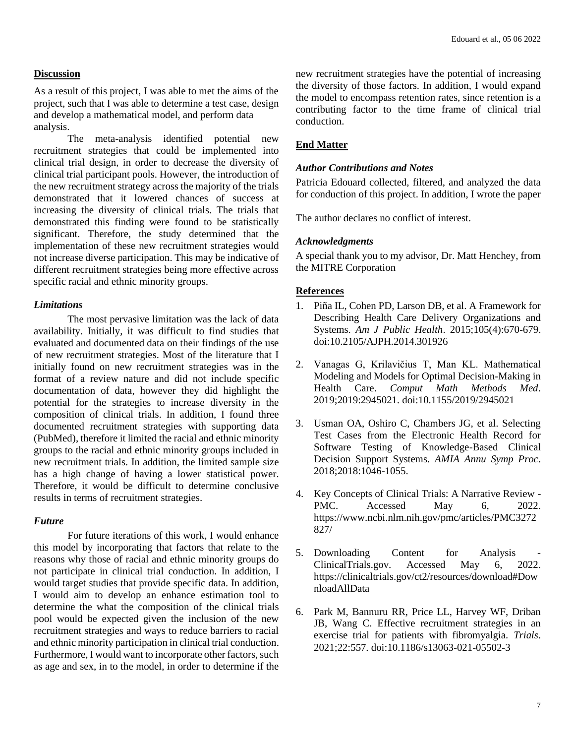## **Discussion**

As a result of this project, I was able to met the aims of the project, such that I was able to determine a test case, design and develop a mathematical model, and perform data analysis.

The meta-analysis identified potential new recruitment strategies that could be implemented into clinical trial design, in order to decrease the diversity of clinical trial participant pools. However, the introduction of the new recruitment strategy across the majority of the trials demonstrated that it lowered chances of success at increasing the diversity of clinical trials. The trials that demonstrated this finding were found to be statistically significant. Therefore, the study determined that the implementation of these new recruitment strategies would not increase diverse participation. This may be indicative of different recruitment strategies being more effective across specific racial and ethnic minority groups.

## *Limitations*

The most pervasive limitation was the lack of data availability. Initially, it was difficult to find studies that evaluated and documented data on their findings of the use of new recruitment strategies. Most of the literature that I initially found on new recruitment strategies was in the format of a review nature and did not include specific documentation of data, however they did highlight the potential for the strategies to increase diversity in the composition of clinical trials. In addition, I found three documented recruitment strategies with supporting data (PubMed), therefore it limited the racial and ethnic minority groups to the racial and ethnic minority groups included in new recruitment trials. In addition, the limited sample size has a high change of having a lower statistical power. Therefore, it would be difficult to determine conclusive results in terms of recruitment strategies.

## *Future*

For future iterations of this work, I would enhance this model by incorporating that factors that relate to the reasons why those of racial and ethnic minority groups do not participate in clinical trial conduction. In addition, I would target studies that provide specific data. In addition, I would aim to develop an enhance estimation tool to determine the what the composition of the clinical trials pool would be expected given the inclusion of the new recruitment strategies and ways to reduce barriers to racial and ethnic minority participation in clinical trial conduction. Furthermore, I would want to incorporate other factors, such as age and sex, in to the model, in order to determine if the

new recruitment strategies have the potential of increasing the diversity of those factors. In addition, I would expand the model to encompass retention rates, since retention is a contributing factor to the time frame of clinical trial conduction.

## **End Matter**

## *Author Contributions and Notes*

Patricia Edouard collected, filtered, and analyzed the data for conduction of this project. In addition, I wrote the paper

The author declares no conflict of interest.

## *Acknowledgments*

A special thank you to my advisor, Dr. Matt Henchey, from the MITRE Corporation

## **References**

- 1. Piña IL, Cohen PD, Larson DB, et al. A Framework for Describing Health Care Delivery Organizations and Systems. *Am J Public Health*. 2015;105(4):670-679. doi:10.2105/AJPH.2014.301926
- 2. Vanagas G, Krilavičius T, Man KL. Mathematical Modeling and Models for Optimal Decision-Making in Health Care. *Comput Math Methods Med*. 2019;2019:2945021. doi:10.1155/2019/2945021
- 3. Usman OA, Oshiro C, Chambers JG, et al. Selecting Test Cases from the Electronic Health Record for Software Testing of Knowledge-Based Clinical Decision Support Systems. *AMIA Annu Symp Proc*. 2018;2018:1046-1055.
- 4. Key Concepts of Clinical Trials: A Narrative Review PMC. Accessed May 6, 2022. https://www.ncbi.nlm.nih.gov/pmc/articles/PMC3272 827/
- 5. Downloading Content for Analysis ClinicalTrials.gov. Accessed May 6, 2022. https://clinicaltrials.gov/ct2/resources/download#Dow nloadAllData
- 6. Park M, Bannuru RR, Price LL, Harvey WF, Driban JB, Wang C. Effective recruitment strategies in an exercise trial for patients with fibromyalgia. *Trials*. 2021;22:557. doi:10.1186/s13063-021-05502-3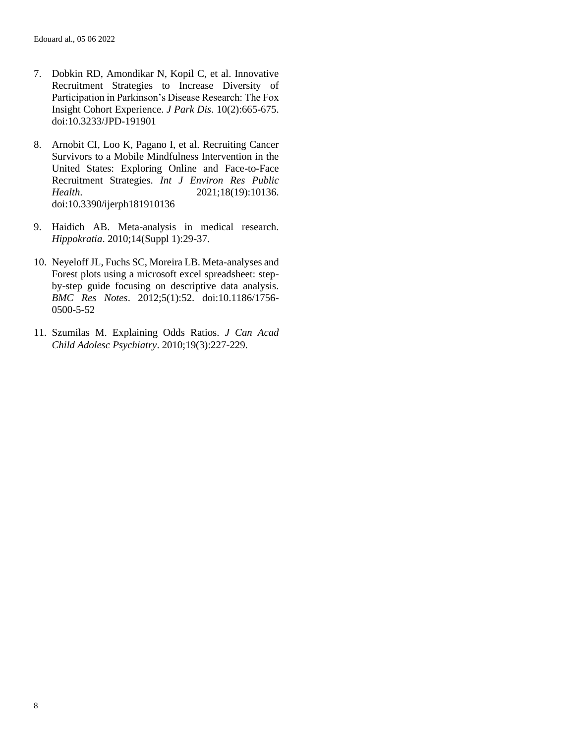- 7. Dobkin RD, Amondikar N, Kopil C, et al. Innovative Recruitment Strategies to Increase Diversity of Participation in Parkinson's Disease Research: The Fox Insight Cohort Experience. *J Park Dis*. 10(2):665-675. doi:10.3233/JPD-191901
- 8. Arnobit CI, Loo K, Pagano I, et al. Recruiting Cancer Survivors to a Mobile Mindfulness Intervention in the United States: Exploring Online and Face-to-Face Recruitment Strategies. *Int J Environ Res Public Health*. 2021;18(19):10136. doi:10.3390/ijerph181910136
- 9. Haidich AB. Meta-analysis in medical research. *Hippokratia*. 2010;14(Suppl 1):29-37.
- 10. Neyeloff JL, Fuchs SC, Moreira LB. Meta-analyses and Forest plots using a microsoft excel spreadsheet: stepby-step guide focusing on descriptive data analysis. *BMC Res Notes*. 2012;5(1):52. doi:10.1186/1756- 0500-5-52
- 11. Szumilas M. Explaining Odds Ratios. *J Can Acad Child Adolesc Psychiatry*. 2010;19(3):227-229.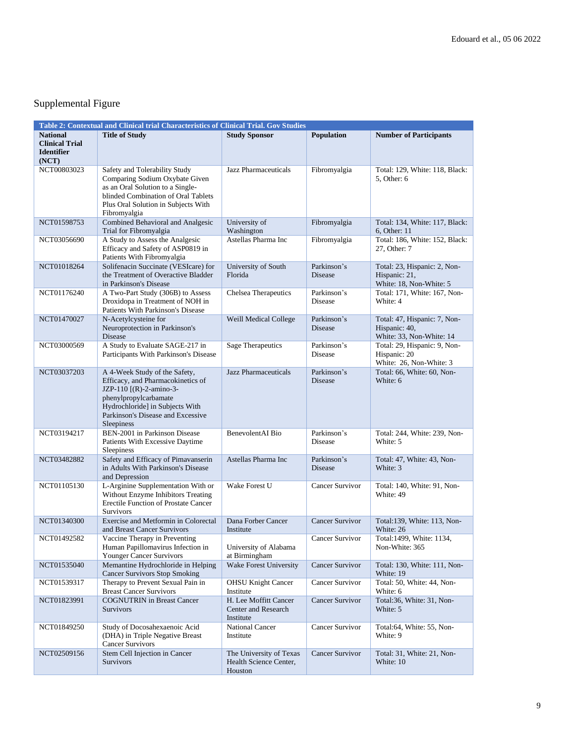## Supplemental Figure

| Table 2: Contextual and Clinical trial Characteristics of Clinical Trial. Gov Studies |                                                                                                                                                                                                              |                                                              |                               |                                                                           |  |
|---------------------------------------------------------------------------------------|--------------------------------------------------------------------------------------------------------------------------------------------------------------------------------------------------------------|--------------------------------------------------------------|-------------------------------|---------------------------------------------------------------------------|--|
| <b>National</b><br><b>Clinical Trial</b><br><b>Identifier</b><br>(NOT)                | <b>Title of Study</b>                                                                                                                                                                                        | <b>Study Sponsor</b>                                         | Population                    | <b>Number of Participants</b>                                             |  |
| NCT00803023                                                                           | Safety and Tolerability Study<br>Comparing Sodium Oxybate Given<br>as an Oral Solution to a Single-<br>blinded Combination of Oral Tablets<br>Plus Oral Solution in Subjects With<br>Fibromyalgia            | Jazz Pharmaceuticals                                         | Fibromyalgia                  | Total: 129, White: 118, Black:<br>5. Other: 6                             |  |
| NCT01598753                                                                           | Combined Behavioral and Analgesic<br>Trial for Fibromyalgia                                                                                                                                                  | University of<br>Washington                                  | Fibromyalgia                  | Total: 134, White: 117, Black:<br>6, Other: 11                            |  |
| NCT03056690                                                                           | A Study to Assess the Analgesic<br>Efficacy and Safety of ASP0819 in<br>Patients With Fibromyalgia                                                                                                           | Astellas Pharma Inc                                          | Fibromyalgia                  | Total: 186, White: 152, Black:<br>27, Other: 7                            |  |
| NCT01018264                                                                           | Solifenacin Succinate (VESIcare) for<br>the Treatment of Overactive Bladder<br>in Parkinson's Disease                                                                                                        | University of South<br>Florida                               | Parkinson's<br><b>Disease</b> | Total: 23, Hispanic: 2, Non-<br>Hispanic: 21,<br>White: 18, Non-White: 5  |  |
| NCT01176240                                                                           | A Two-Part Study (306B) to Assess<br>Droxidopa in Treatment of NOH in<br>Patients With Parkinson's Disease                                                                                                   | Chelsea Therapeutics                                         | Parkinson's<br>Disease        | Total: 171, White: 167, Non-<br>White: 4                                  |  |
| NCT01470027                                                                           | N-Acetylcysteine for<br>Neuroprotection in Parkinson's<br>Disease                                                                                                                                            | Weill Medical College                                        | Parkinson's<br>Disease        | Total: 47, Hispanic: 7, Non-<br>Hispanic: 40,<br>White: 33, Non-White: 14 |  |
| NCT03000569                                                                           | A Study to Evaluate SAGE-217 in<br>Participants With Parkinson's Disease                                                                                                                                     | Sage Therapeutics                                            | Parkinson's<br>Disease        | Total: 29, Hispanic: 9, Non-<br>Hispanic: 20<br>White: 26, Non-White: 3   |  |
| NCT03037203                                                                           | A 4-Week Study of the Safety,<br>Efficacy, and Pharmacokinetics of<br>JZP-110 [(R)-2-amino-3-<br>phenylpropylcarbamate<br>Hydrochloride] in Subjects With<br>Parkinson's Disease and Excessive<br>Sleepiness | Jazz Pharmaceuticals                                         | Parkinson's<br><b>Disease</b> | Total: 66, White: 60, Non-<br>White: 6                                    |  |
| NCT03194217                                                                           | BEN-2001 in Parkinson Disease<br>Patients With Excessive Daytime<br>Sleepiness                                                                                                                               | <b>BenevolentAI</b> Bio                                      | Parkinson's<br>Disease        | Total: 244, White: 239, Non-<br>White: 5                                  |  |
| NCT03482882                                                                           | Safety and Efficacy of Pimavanserin<br>in Adults With Parkinson's Disease<br>and Depression                                                                                                                  | Astellas Pharma Inc                                          | Parkinson's<br><b>Disease</b> | Total: 47, White: 43, Non-<br>White: 3                                    |  |
| NCT01105130                                                                           | L-Arginine Supplementation With or<br>Without Enzyme Inhibitors Treating<br><b>Erectile Function of Prostate Cancer</b><br>Survivors                                                                         | Wake Forest U                                                | Cancer Survivor               | Total: 140, White: 91, Non-<br>White: 49                                  |  |
| NCT01340300                                                                           | Exercise and Metformin in Colorectal<br>and Breast Cancer Survivors                                                                                                                                          | Dana Forber Cancer<br>Institute                              | Cancer Survivor               | Total:139, White: 113, Non-<br>White: 26                                  |  |
| NCT01492582                                                                           | Vaccine Therapy in Preventing<br>Human Papillomavirus Infection in<br><b>Younger Cancer Survivors</b>                                                                                                        | University of Alabama<br>at Birmingham                       | Cancer Survivor               | Total:1499, White: 1134,<br>Non-White: 365                                |  |
| NCT01535040                                                                           | Memantine Hydrochloride in Helping<br><b>Cancer Survivors Stop Smoking</b>                                                                                                                                   | Wake Forest University                                       | <b>Cancer Survivor</b>        | Total: 130, White: 111, Non-<br>White: 19                                 |  |
| NCT01539317                                                                           | Therapy to Prevent Sexual Pain in<br><b>Breast Cancer Survivors</b>                                                                                                                                          | <b>OHSU Knight Cancer</b><br>Institute                       | Cancer Survivor               | Total: 50, White: 44, Non-<br>White: 6                                    |  |
| NCT01823991                                                                           | <b>COGNUTRIN</b> in Breast Cancer<br><b>Survivors</b>                                                                                                                                                        | H. Lee Moffitt Cancer<br>Center and Research<br>Institute    | Cancer Survivor               | Total:36, White: 31, Non-<br>White: 5                                     |  |
| NCT01849250                                                                           | Study of Docosahexaenoic Acid<br>(DHA) in Triple Negative Breast<br><b>Cancer Survivors</b>                                                                                                                  | National Cancer<br>Institute                                 | Cancer Survivor               | Total:64, White: 55, Non-<br>White: 9                                     |  |
| NCT02509156                                                                           | Stem Cell Injection in Cancer<br><b>Survivors</b>                                                                                                                                                            | The University of Texas<br>Health Science Center,<br>Houston | Cancer Survivor               | Total: 31, White: 21, Non-<br>White: 10                                   |  |